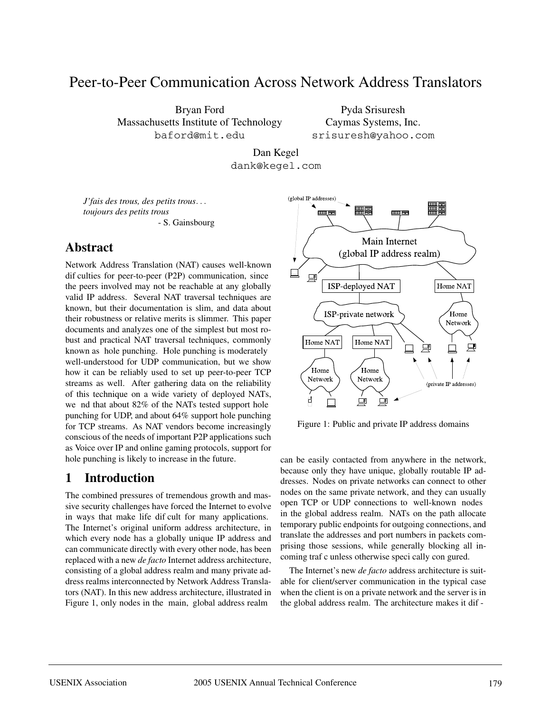# Peer-to-Peer Communication Across Network Address Translators

Bryan Ford Massachusetts Institute of Technology baford@mit.edu

Pyda Srisuresh Caymas Systems, Inc. srisuresh@yahoo.com

Dan Kegel dank@kegel.com

*J'fais des trous, des petits trous*... *toujours des petits trous* - S. Gainsbourg

# **Abstract**

Network Address Translation (NAT) causes well-known dif culties for peer-to-peer (P2P) communication, since the peers involved may not be reachable at any globally valid IP address. Several NAT traversal techniques are known, but their documentation is slim, and data about their robustness or relative merits is slimmer. This paper documents and analyzes one of the simplest but most robust and practical NAT traversal techniques, commonly known as hole punching. Hole punching is moderately well-understood for UDP communication, but we show how it can be reliably used to set up peer-to-peer TCP streams as well. After gathering data on the reliability of this technique on a wide variety of deployed NATs, we nd that about 82% of the NATs tested support hole punching for UDP, and about 64% support hole punching for TCP streams. As NAT vendors become increasingly conscious of the needs of important P2P applications such as Voice over IP and online gaming protocols, support for hole punching is likely to increase in the future.

# **1 Introduction**

The combined pressures of tremendous growth and massive security challenges have forced the Internet to evolve in ways that make life dif cult for many applications. The Internet's original uniform address architecture, in which every node has a globally unique IP address and can communicate directly with every other node, has been replaced with a new *de facto* Internet address architecture, consisting of a global address realm and many private address realms interconnected by Network Address Translators (NAT). In this new address architecture, illustrated in Figure 1, only nodes in the main, global address realm



Figure 1: Public and private IP address domains

can be easily contacted from anywhere in the network, because only they have unique, globally routable IP addresses. Nodes on private networks can connect to other nodes on the same private network, and they can usually open TCP or UDP connections to well-known nodes in the global address realm. NATs on the path allocate temporary public endpoints for outgoing connections, and translate the addresses and port numbers in packets comprising those sessions, while generally blocking all incoming traf c unless otherwise speci cally con gured.

The Internet's new *de facto* address architecture is suitable for client/server communication in the typical case when the client is on a private network and the server is in the global address realm. The architecture makes it dif -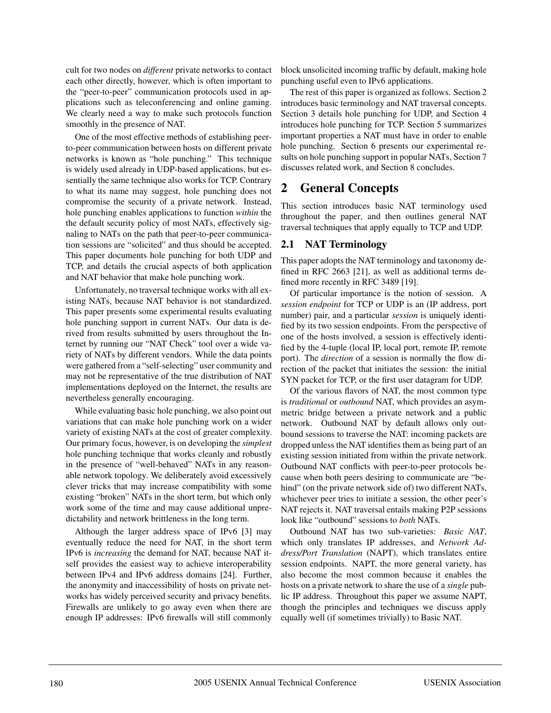cult for two nodes on *different* private networks to contact each other directly, however, which is often important to the "peer-to-peer" communication protocols used in applications such as teleconferencing and online gaming. We clearly need a way to make such protocols function smoothly in the presence of NAT.

One of the most effective methods of establishing peerto-peer communication between hosts on different private networks is known as "hole punching." This technique is widely used already in UDP-based applications, but essentially the same technique also works for TCP. Contrary to what its name may suggest, hole punching does not compromise the security of a private network. Instead, hole punching enables applications to function *within* the the default security policy of most NATs, effectively signaling to NATs on the path that peer-to-peer communication sessions are "solicited" and thus should be accepted. This paper documents hole punching for both UDP and TCP, and details the crucial aspects of both application and NAT behavior that make hole punching work.

Unfortunately, no traversal technique works with all existing NATs, because NAT behavior is not standardized. This paper presents some experimental results evaluating hole punching support in current NATs. Our data is derived from results submitted by users throughout the Internet by running our "NAT Check" tool over a wide variety of NATs by different vendors. While the data points were gathered from a "self-selecting" user community and may not be representative of the true distribution of NAT implementations deployed on the Internet, the results are nevertheless generally encouraging.

While evaluating basic hole punching, we also point out variations that can make hole punching work on a wider variety of existing NATs at the cost of greater complexity. Our primary focus, however, is on developing the *simplest* hole punching technique that works cleanly and robustly in the presence of "well-behaved" NATs in any reasonable network topology. We deliberately avoid excessively clever tricks that may increase compatibility with some existing "broken" NATs in the short term, but which only work some of the time and may cause additional unpredictability and network brittleness in the long term.

Although the larger address space of IPv6 [3] may eventually reduce the need for NAT, in the short term IPv6 is *increasing* the demand for NAT, because NAT itself provides the easiest way to achieve interoperability between IPv4 and IPv6 address domains [24]. Further, the anonymity and inaccessibility of hosts on private networks has widely perceived security and privacy benefits. Firewalls are unlikely to go away even when there are enough IP addresses: IPv6 firewalls will still commonly block unsolicited incoming traffic by default, making hole punching useful even to IPv6 applications.

The rest of this paper is organized as follows. Section 2 introduces basic terminology and NAT traversal concepts. Section 3 details hole punching for UDP, and Section 4 introduces hole punching for TCP. Section 5 summarizes important properties a NAT must have in order to enable hole punching. Section 6 presents our experimental results on hole punching support in popular NATs, Section 7 discusses related work, and Section 8 concludes.

# **2 General Concepts**

This section introduces basic NAT terminology used throughout the paper, and then outlines general NAT traversal techniques that apply equally to TCP and UDP.

## **2.1 NAT Terminology**

This paper adopts the NAT terminology and taxonomy defined in RFC 2663 [21], as well as additional terms defined more recently in RFC 3489 [19].

Of particular importance is the notion of session. A *session endpoint* for TCP or UDP is an (IP address, port number) pair, and a particular *session* is uniquely identified by its two session endpoints. From the perspective of one of the hosts involved, a session is effectively identified by the 4-tuple (local IP, local port, remote IP, remote port). The *direction* of a session is normally the flow direction of the packet that initiates the session: the initial SYN packet for TCP, or the first user datagram for UDP.

Of the various flavors of NAT, the most common type is *traditional* or *outbound* NAT, which provides an asymmetric bridge between a private network and a public network. Outbound NAT by default allows only outbound sessions to traverse the NAT: incoming packets are dropped unless the NAT identifies them as being part of an existing session initiated from within the private network. Outbound NAT conflicts with peer-to-peer protocols because when both peers desiring to communicate are "behind" (on the private network side of) two different NATs, whichever peer tries to initiate a session, the other peer's NAT rejects it. NAT traversal entails making P2P sessions look like "outbound" sessions to *both* NATs.

Outbound NAT has two sub-varieties: *Basic NAT*, which only translates IP addresses, and *Network Address/Port Translation* (NAPT), which translates entire session endpoints. NAPT, the more general variety, has also become the most common because it enables the hosts on a private network to share the use of a *single* public IP address. Throughout this paper we assume NAPT, though the principles and techniques we discuss apply equally well (if sometimes trivially) to Basic NAT.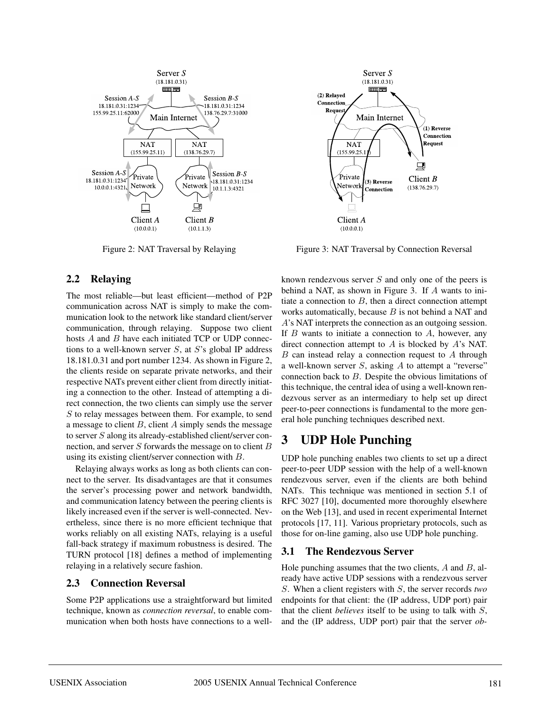

Figure 2: NAT Traversal by Relaying

#### **2.2 Relaying**

The most reliable—but least efficient—method of P2P communication across NAT is simply to make the communication look to the network like standard client/server communication, through relaying. Suppose two client hosts A and B have each initiated TCP or UDP connections to a well-known server  $S$ , at  $S$ 's global IP address 18.181.0.31 and port number 1234. As shown in Figure 2, the clients reside on separate private networks, and their respective NATs prevent either client from directly initiating a connection to the other. Instead of attempting a direct connection, the two clients can simply use the server S to relay messages between them. For example, to send a message to client  $B$ , client  $A$  simply sends the message to server  $S$  along its already-established client/server connection, and server  $S$  forwards the message on to client  $B$ using its existing client/server connection with B.

Relaying always works as long as both clients can connect to the server. Its disadvantages are that it consumes the server's processing power and network bandwidth, and communication latency between the peering clients is likely increased even if the server is well-connected. Nevertheless, since there is no more efficient technique that works reliably on all existing NATs, relaying is a useful fall-back strategy if maximum robustness is desired. The TURN protocol [18] defines a method of implementing relaying in a relatively secure fashion.

#### **2.3 Connection Reversal**

Some P2P applications use a straightforward but limited technique, known as *connection reversal*, to enable communication when both hosts have connections to a well-



Figure 3: NAT Traversal by Connection Reversal

known rendezvous server  $S$  and only one of the peers is behind a NAT, as shown in Figure 3. If A wants to initiate a connection to  $B$ , then a direct connection attempt works automatically, because  $B$  is not behind a NAT and A's NAT interprets the connection as an outgoing session. If  $B$  wants to initiate a connection to  $A$ , however, any direct connection attempt to A is blocked by A's NAT.  $B$  can instead relay a connection request to  $A$  through a well-known server  $S$ , asking  $A$  to attempt a "reverse" connection back to B. Despite the obvious limitations of this technique, the central idea of using a well-known rendezvous server as an intermediary to help set up direct peer-to-peer connections is fundamental to the more general hole punching techniques described next.

# **3 UDP Hole Punching**

UDP hole punching enables two clients to set up a direct peer-to-peer UDP session with the help of a well-known rendezvous server, even if the clients are both behind NATs. This technique was mentioned in section 5.1 of RFC 3027 [10], documented more thoroughly elsewhere on the Web [13], and used in recent experimental Internet protocols [17, 11]. Various proprietary protocols, such as those for on-line gaming, also use UDP hole punching.

#### **3.1 The Rendezvous Server**

Hole punching assumes that the two clients,  $A$  and  $B$ , already have active UDP sessions with a rendezvous server S. When a client registers with S, the server records *two* endpoints for that client: the (IP address, UDP port) pair that the client *believes* itself to be using to talk with S, and the (IP address, UDP port) pair that the server *ob-*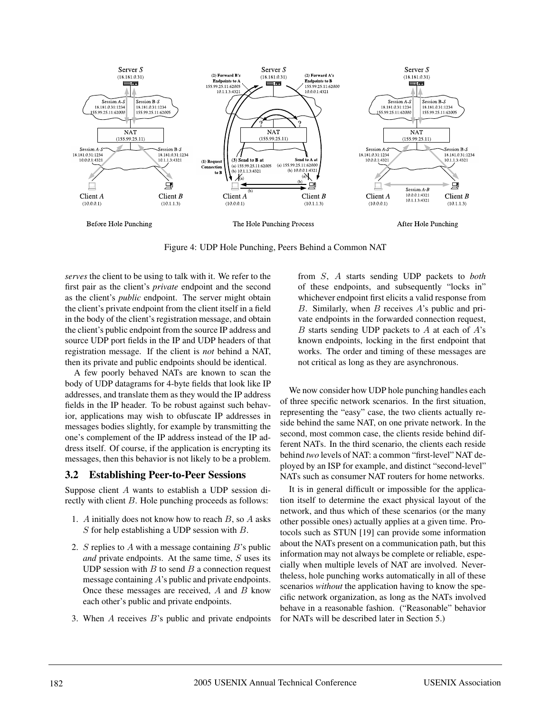

Figure 4: UDP Hole Punching, Peers Behind a Common NAT

*serves* the client to be using to talk with it. We refer to the first pair as the client's *private* endpoint and the second as the client's *public* endpoint. The server might obtain the client's private endpoint from the client itself in a field in the body of the client's registration message, and obtain the client's public endpoint from the source IP address and source UDP port fields in the IP and UDP headers of that registration message. If the client is *not* behind a NAT, then its private and public endpoints should be identical.

A few poorly behaved NATs are known to scan the body of UDP datagrams for 4-byte fields that look like IP addresses, and translate them as they would the IP address fields in the IP header. To be robust against such behavior, applications may wish to obfuscate IP addresses in messages bodies slightly, for example by transmitting the one's complement of the IP address instead of the IP address itself. Of course, if the application is encrypting its messages, then this behavior is not likely to be a problem.

## **3.2 Establishing Peer-to-Peer Sessions**

Suppose client A wants to establish a UDP session directly with client B. Hole punching proceeds as follows:

- 1. A initially does not know how to reach  $B$ , so  $A$  asks S for help establishing a UDP session with  $B$ .
- 2. S replies to A with a message containing  $B$ 's public *and* private endpoints. At the same time, S uses its UDP session with  $B$  to send  $B$  a connection request message containing A's public and private endpoints. Once these messages are received,  $A$  and  $B$  know each other's public and private endpoints.
- 3. When  $A$  receives  $B$ 's public and private endpoints

from S, A starts sending UDP packets to *both* of these endpoints, and subsequently "locks in" whichever endpoint first elicits a valid response from B. Similarly, when  $B$  receives  $A$ 's public and private endpoints in the forwarded connection request,  $B$  starts sending UDP packets to  $A$  at each of  $A$ 's known endpoints, locking in the first endpoint that works. The order and timing of these messages are not critical as long as they are asynchronous.

We now consider how UDP hole punching handles each of three specific network scenarios. In the first situation, representing the "easy" case, the two clients actually reside behind the same NAT, on one private network. In the second, most common case, the clients reside behind different NATs. In the third scenario, the clients each reside behind *two* levels of NAT: a common "first-level" NAT deployed by an ISP for example, and distinct "second-level" NATs such as consumer NAT routers for home networks.

It is in general difficult or impossible for the application itself to determine the exact physical layout of the network, and thus which of these scenarios (or the many other possible ones) actually applies at a given time. Protocols such as STUN [19] can provide some information about the NATs present on a communication path, but this information may not always be complete or reliable, especially when multiple levels of NAT are involved. Nevertheless, hole punching works automatically in all of these scenarios *without* the application having to know the specific network organization, as long as the NATs involved behave in a reasonable fashion. ("Reasonable" behavior for NATs will be described later in Section 5.)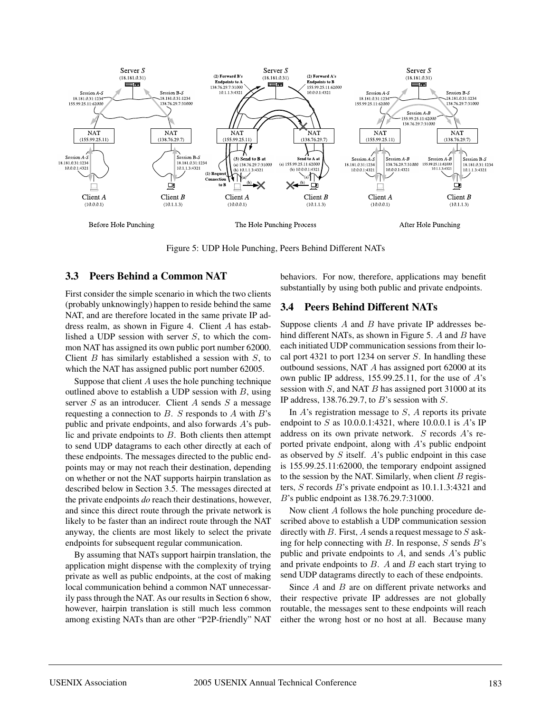

Figure 5: UDP Hole Punching, Peers Behind Different NATs

### **3.3 Peers Behind a Common NAT**

First consider the simple scenario in which the two clients (probably unknowingly) happen to reside behind the same NAT, and are therefore located in the same private IP address realm, as shown in Figure 4. Client A has established a UDP session with server  $S$ , to which the common NAT has assigned its own public port number 62000. Client  $B$  has similarly established a session with  $S$ , to which the NAT has assigned public port number 62005.

Suppose that client  $A$  uses the hole punching technique outlined above to establish a UDP session with  $B$ , using server  $S$  as an introducer. Client  $A$  sends  $S$  a message requesting a connection to  $B$ . S responds to  $A$  with  $B$ 's public and private endpoints, and also forwards A's public and private endpoints to B. Both clients then attempt to send UDP datagrams to each other directly at each of these endpoints. The messages directed to the public endpoints may or may not reach their destination, depending on whether or not the NAT supports hairpin translation as described below in Section 3.5. The messages directed at the private endpoints *do* reach their destinations, however, and since this direct route through the private network is likely to be faster than an indirect route through the NAT anyway, the clients are most likely to select the private endpoints for subsequent regular communication.

By assuming that NATs support hairpin translation, the application might dispense with the complexity of trying private as well as public endpoints, at the cost of making local communication behind a common NAT unnecessarily pass through the NAT. As our results in Section 6 show, however, hairpin translation is still much less common among existing NATs than are other "P2P-friendly" NAT behaviors. For now, therefore, applications may benefit substantially by using both public and private endpoints.

## **3.4 Peers Behind Different NATs**

Suppose clients  $A$  and  $B$  have private IP addresses behind different NATs, as shown in Figure 5. A and B have each initiated UDP communication sessions from their local port 4321 to port 1234 on server  $S$ . In handling these outbound sessions, NAT A has assigned port 62000 at its own public IP address, 155.99.25.11, for the use of A's session with  $S$ , and NAT  $B$  has assigned port 31000 at its IP address, 138.76.29.7, to  $B$ 's session with  $S$ .

In  $A$ 's registration message to  $S$ ,  $A$  reports its private endpoint to S as  $10.0.0.1:4321$ , where  $10.0.0.1$  is A's IP address on its own private network. S records A's reported private endpoint, along with A's public endpoint as observed by  $S$  itself.  $A$ 's public endpoint in this case is 155.99.25.11:62000, the temporary endpoint assigned to the session by the NAT. Similarly, when client  $B$  registers, S records B's private endpoint as 10.1.1.3:4321 and B's public endpoint as 138.76.29.7:31000.

Now client A follows the hole punching procedure described above to establish a UDP communication session directly with B. First, A sends a request message to  $S$  asking for help connecting with  $B$ . In response,  $S$  sends  $B$ 's public and private endpoints to  $A$ , and sends  $A$ 's public and private endpoints to  $B$ . A and  $B$  each start trying to send UDP datagrams directly to each of these endpoints.

Since A and B are on different private networks and their respective private IP addresses are not globally routable, the messages sent to these endpoints will reach either the wrong host or no host at all. Because many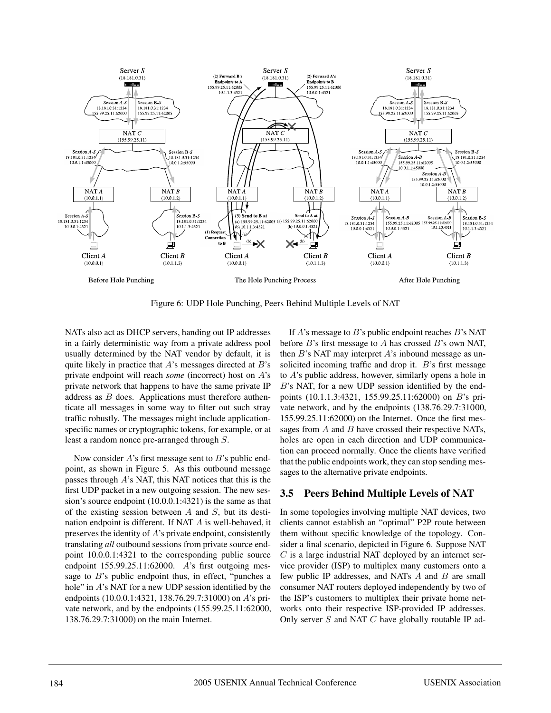

Figure 6: UDP Hole Punching, Peers Behind Multiple Levels of NAT

NATs also act as DHCP servers, handing out IP addresses in a fairly deterministic way from a private address pool usually determined by the NAT vendor by default, it is quite likely in practice that  $A$ 's messages directed at  $B$ 's private endpoint will reach *some* (incorrect) host on A's private network that happens to have the same private IP address as B does. Applications must therefore authenticate all messages in some way to filter out such stray traffic robustly. The messages might include applicationspecific names or cryptographic tokens, for example, or at least a random nonce pre-arranged through S.

Now consider A's first message sent to B's public endpoint, as shown in Figure 5. As this outbound message passes through A's NAT, this NAT notices that this is the first UDP packet in a new outgoing session. The new session's source endpoint (10.0.0.1:4321) is the same as that of the existing session between  $A$  and  $S$ , but its destination endpoint is different. If NAT A is well-behaved, it preserves the identity of A's private endpoint, consistently translating *all* outbound sessions from private source endpoint 10.0.0.1:4321 to the corresponding public source endpoint  $155.99.25.11:62000$ . A's first outgoing message to  $B$ 's public endpoint thus, in effect, "punches a hole" in A's NAT for a new UDP session identified by the endpoints (10.0.0.1:4321, 138.76.29.7:31000) on A's private network, and by the endpoints (155.99.25.11:62000, 138.76.29.7:31000) on the main Internet.

If  $A$ 's message to  $B$ 's public endpoint reaches  $B$ 's NAT before  $B$ 's first message to  $A$  has crossed  $B$ 's own NAT, then  $B$ 's NAT may interpret  $A$ 's inbound message as unsolicited incoming traffic and drop it. B's first message to A's public address, however, similarly opens a hole in B's NAT, for a new UDP session identified by the endpoints (10.1.1.3:4321, 155.99.25.11:62000) on B's private network, and by the endpoints (138.76.29.7:31000, 155.99.25.11:62000) on the Internet. Once the first messages from A and B have crossed their respective NATs, holes are open in each direction and UDP communication can proceed normally. Once the clients have verified that the public endpoints work, they can stop sending messages to the alternative private endpoints.

## **3.5 Peers Behind Multiple Levels of NAT**

In some topologies involving multiple NAT devices, two clients cannot establish an "optimal" P2P route between them without specific knowledge of the topology. Consider a final scenario, depicted in Figure 6. Suppose NAT  $C$  is a large industrial NAT deployed by an internet service provider (ISP) to multiplex many customers onto a few public IP addresses, and NATs A and B are small consumer NAT routers deployed independently by two of the ISP's customers to multiplex their private home networks onto their respective ISP-provided IP addresses. Only server  $S$  and NAT  $C$  have globally routable IP ad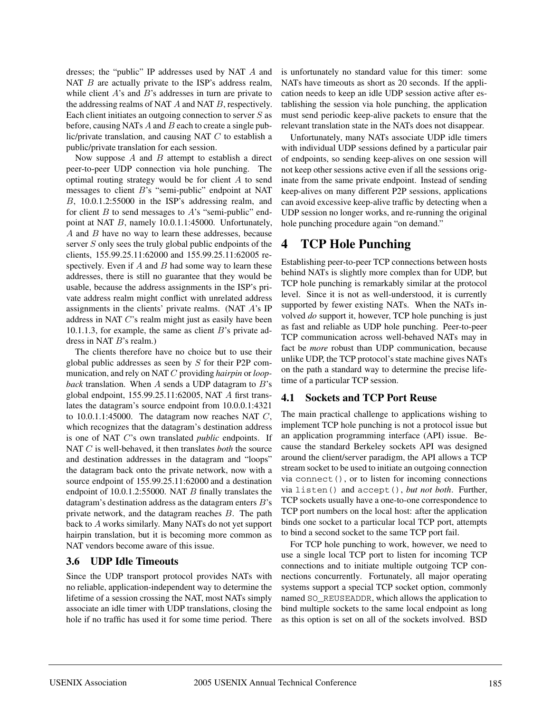dresses; the "public" IP addresses used by NAT A and NAT  $B$  are actually private to the ISP's address realm, while client  $A$ 's and  $B$ 's addresses in turn are private to the addressing realms of NAT A and NAT B, respectively. Each client initiates an outgoing connection to server  $S$  as before, causing NATs  $A$  and  $B$  each to create a single public/private translation, and causing NAT  $C$  to establish a public/private translation for each session.

Now suppose  $A$  and  $B$  attempt to establish a direct peer-to-peer UDP connection via hole punching. The optimal routing strategy would be for client A to send messages to client B's "semi-public" endpoint at NAT B, 10.0.1.2:55000 in the ISP's addressing realm, and for client  $B$  to send messages to  $A$ 's "semi-public" endpoint at NAT B, namely 10.0.1.1:45000. Unfortunately, A and B have no way to learn these addresses, because server S only sees the truly global public endpoints of the clients, 155.99.25.11:62000 and 155.99.25.11:62005 respectively. Even if  $A$  and  $B$  had some way to learn these addresses, there is still no guarantee that they would be usable, because the address assignments in the ISP's private address realm might conflict with unrelated address assignments in the clients' private realms. (NAT A's IP address in NAT C's realm might just as easily have been 10.1.1.3, for example, the same as client  $B$ 's private address in NAT B's realm.)

The clients therefore have no choice but to use their global public addresses as seen by S for their P2P communication, and rely on NAT C providing *hairpin* or *loopback* translation. When A sends a UDP datagram to B's global endpoint, 155.99.25.11:62005, NAT A first translates the datagram's source endpoint from 10.0.0.1:4321 to  $10.0.1.1:45000$ . The datagram now reaches NAT  $C$ , which recognizes that the datagram's destination address is one of NAT C's own translated *public* endpoints. If NAT C is well-behaved, it then translates *both* the source and destination addresses in the datagram and "loops" the datagram back onto the private network, now with a source endpoint of 155.99.25.11:62000 and a destination endpoint of 10.0.1.2:55000. NAT B finally translates the datagram's destination address as the datagram enters  $B$ 's private network, and the datagram reaches B. The path back to A works similarly. Many NATs do not yet support hairpin translation, but it is becoming more common as NAT vendors become aware of this issue.

#### **3.6 UDP Idle Timeouts**

Since the UDP transport protocol provides NATs with no reliable, application-independent way to determine the lifetime of a session crossing the NAT, most NATs simply associate an idle timer with UDP translations, closing the hole if no traffic has used it for some time period. There is unfortunately no standard value for this timer: some NATs have timeouts as short as 20 seconds. If the application needs to keep an idle UDP session active after establishing the session via hole punching, the application must send periodic keep-alive packets to ensure that the relevant translation state in the NATs does not disappear.

Unfortunately, many NATs associate UDP idle timers with individual UDP sessions defined by a particular pair of endpoints, so sending keep-alives on one session will not keep other sessions active even if all the sessions originate from the same private endpoint. Instead of sending keep-alives on many different P2P sessions, applications can avoid excessive keep-alive traffic by detecting when a UDP session no longer works, and re-running the original hole punching procedure again "on demand."

# **4 TCP Hole Punching**

Establishing peer-to-peer TCP connections between hosts behind NATs is slightly more complex than for UDP, but TCP hole punching is remarkably similar at the protocol level. Since it is not as well-understood, it is currently supported by fewer existing NATs. When the NATs involved *do* support it, however, TCP hole punching is just as fast and reliable as UDP hole punching. Peer-to-peer TCP communication across well-behaved NATs may in fact be *more* robust than UDP communication, because unlike UDP, the TCP protocol's state machine gives NATs on the path a standard way to determine the precise lifetime of a particular TCP session.

## **4.1 Sockets and TCP Port Reuse**

The main practical challenge to applications wishing to implement TCP hole punching is not a protocol issue but an application programming interface (API) issue. Because the standard Berkeley sockets API was designed around the client/server paradigm, the API allows a TCP stream socket to be used to initiate an outgoing connection via connect(), or to listen for incoming connections via listen() and accept(), *but not both*. Further, TCP sockets usually have a one-to-one correspondence to TCP port numbers on the local host: after the application binds one socket to a particular local TCP port, attempts to bind a second socket to the same TCP port fail.

For TCP hole punching to work, however, we need to use a single local TCP port to listen for incoming TCP connections and to initiate multiple outgoing TCP connections concurrently. Fortunately, all major operating systems support a special TCP socket option, commonly named SO\_REUSEADDR, which allows the application to bind multiple sockets to the same local endpoint as long as this option is set on all of the sockets involved. BSD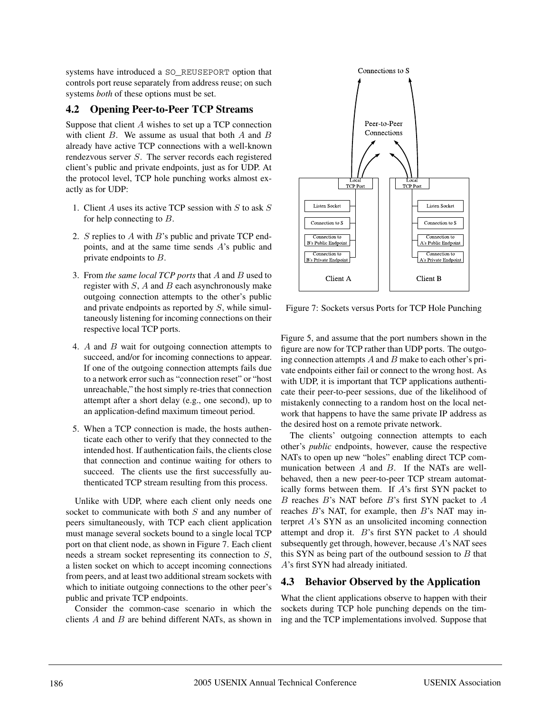systems have introduced a SO\_REUSEPORT option that controls port reuse separately from address reuse; on such systems *both* of these options must be set.

### **4.2 Opening Peer-to-Peer TCP Streams**

Suppose that client  $A$  wishes to set up a TCP connection with client  $B$ . We assume as usual that both  $A$  and  $B$ already have active TCP connections with a well-known rendezvous server  $S$ . The server records each registered client's public and private endpoints, just as for UDP. At the protocol level, TCP hole punching works almost exactly as for UDP:

- 1. Client  $A$  uses its active TCP session with  $S$  to ask  $S$ for help connecting to B.
- 2. S replies to A with B's public and private TCP endpoints, and at the same time sends A's public and private endpoints to B.
- 3. From *the same local TCP ports* that A and B used to register with  $S$ ,  $A$  and  $B$  each asynchronously make outgoing connection attempts to the other's public and private endpoints as reported by S, while simultaneously listening for incoming connections on their respective local TCP ports.
- 4. A and B wait for outgoing connection attempts to succeed, and/or for incoming connections to appear. If one of the outgoing connection attempts fails due to a network error such as "connection reset" or "host unreachable," the host simply re-tries that connection attempt after a short delay (e.g., one second), up to an application-defind maximum timeout period.
- 5. When a TCP connection is made, the hosts authenticate each other to verify that they connected to the intended host. If authentication fails, the clients close that connection and continue waiting for others to succeed. The clients use the first successfully authenticated TCP stream resulting from this process.

Unlike with UDP, where each client only needs one socket to communicate with both  $S$  and any number of peers simultaneously, with TCP each client application must manage several sockets bound to a single local TCP port on that client node, as shown in Figure 7. Each client needs a stream socket representing its connection to S, a listen socket on which to accept incoming connections from peers, and at least two additional stream sockets with which to initiate outgoing connections to the other peer's public and private TCP endpoints.

Consider the common-case scenario in which the clients  $A$  and  $B$  are behind different NATs, as shown in



Figure 7: Sockets versus Ports for TCP Hole Punching

Figure 5, and assume that the port numbers shown in the figure are now for TCP rather than UDP ports. The outgoing connection attempts  $A$  and  $B$  make to each other's private endpoints either fail or connect to the wrong host. As with UDP, it is important that TCP applications authenticate their peer-to-peer sessions, due of the likelihood of mistakenly connecting to a random host on the local network that happens to have the same private IP address as the desired host on a remote private network.

The clients' outgoing connection attempts to each other's *public* endpoints, however, cause the respective NATs to open up new "holes" enabling direct TCP communication between  $A$  and  $B$ . If the NATs are wellbehaved, then a new peer-to-peer TCP stream automatically forms between them. If A's first SYN packet to  $B$  reaches  $B$ 's NAT before  $B$ 's first SYN packet to  $A$ reaches  $B$ 's NAT, for example, then  $B$ 's NAT may interpret A's SYN as an unsolicited incoming connection attempt and drop it. B's first SYN packet to A should subsequently get through, however, because A's NAT sees this SYN as being part of the outbound session to  $B$  that A's first SYN had already initiated.

#### **4.3 Behavior Observed by the Application**

What the client applications observe to happen with their sockets during TCP hole punching depends on the timing and the TCP implementations involved. Suppose that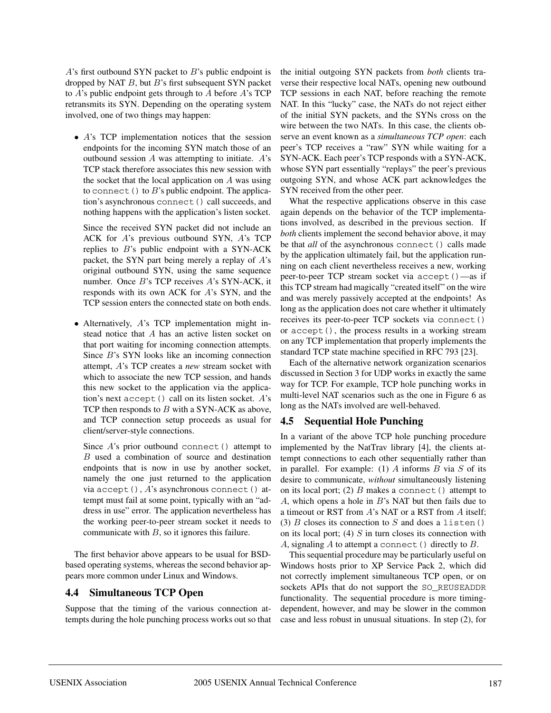$A$ 's first outbound SYN packet to  $B$ 's public endpoint is dropped by NAT  $B$ , but  $B$ 's first subsequent SYN packet to A's public endpoint gets through to A before A's TCP retransmits its SYN. Depending on the operating system involved, one of two things may happen:

• A's TCP implementation notices that the session endpoints for the incoming SYN match those of an outbound session  $A$  was attempting to initiate.  $A$ 's TCP stack therefore associates this new session with the socket that the local application on  $A$  was using to connect () to  $B$ 's public endpoint. The application's asynchronous connect() call succeeds, and nothing happens with the application's listen socket.

Since the received SYN packet did not include an ACK for A's previous outbound SYN, A's TCP replies to  $B$ 's public endpoint with a SYN-ACK packet, the SYN part being merely a replay of A's original outbound SYN, using the same sequence number. Once B's TCP receives A's SYN-ACK, it responds with its own ACK for A's SYN, and the TCP session enters the connected state on both ends.

• Alternatively, A's TCP implementation might instead notice that A has an active listen socket on that port waiting for incoming connection attempts. Since B's SYN looks like an incoming connection attempt, A's TCP creates a *new* stream socket with which to associate the new TCP session, and hands this new socket to the application via the application's next accept () call on its listen socket.  $A$ 's TCP then responds to  $B$  with a SYN-ACK as above, and TCP connection setup proceeds as usual for client/server-style connections.

Since  $A$ 's prior outbound connect () attempt to B used a combination of source and destination endpoints that is now in use by another socket, namely the one just returned to the application via accept(), A's asynchronous connect() attempt must fail at some point, typically with an "address in use" error. The application nevertheless has the working peer-to-peer stream socket it needs to communicate with  $B$ , so it ignores this failure.

The first behavior above appears to be usual for BSDbased operating systems, whereas the second behavior appears more common under Linux and Windows.

#### **4.4 Simultaneous TCP Open**

Suppose that the timing of the various connection attempts during the hole punching process works out so that the initial outgoing SYN packets from *both* clients traverse their respective local NATs, opening new outbound TCP sessions in each NAT, before reaching the remote NAT. In this "lucky" case, the NATs do not reject either of the initial SYN packets, and the SYNs cross on the wire between the two NATs. In this case, the clients observe an event known as a *simultaneous TCP open*: each peer's TCP receives a "raw" SYN while waiting for a SYN-ACK. Each peer's TCP responds with a SYN-ACK, whose SYN part essentially "replays" the peer's previous outgoing SYN, and whose ACK part acknowledges the SYN received from the other peer.

What the respective applications observe in this case again depends on the behavior of the TCP implementations involved, as described in the previous section. If *both* clients implement the second behavior above, it may be that *all* of the asynchronous connect() calls made by the application ultimately fail, but the application running on each client nevertheless receives a new, working peer-to-peer TCP stream socket via accept()—as if this TCP stream had magically "created itself" on the wire and was merely passively accepted at the endpoints! As long as the application does not care whether it ultimately receives its peer-to-peer TCP sockets via connect() or accept(), the process results in a working stream on any TCP implementation that properly implements the standard TCP state machine specified in RFC 793 [23].

Each of the alternative network organization scenarios discussed in Section 3 for UDP works in exactly the same way for TCP. For example, TCP hole punching works in multi-level NAT scenarios such as the one in Figure 6 as long as the NATs involved are well-behaved.

#### **4.5 Sequential Hole Punching**

In a variant of the above TCP hole punching procedure implemented by the NatTrav library [4], the clients attempt connections to each other sequentially rather than in parallel. For example: (1)  $\overline{A}$  informs  $\overline{B}$  via  $\overline{S}$  of its desire to communicate, *without* simultaneously listening on its local port; (2)  $B$  makes a connect () attempt to A, which opens a hole in  $B$ 's NAT but then fails due to a timeout or RST from A's NAT or a RST from A itself; (3) B closes its connection to S and does a listen() on its local port; (4)  $S$  in turn closes its connection with A, signaling  $A$  to attempt a connect () directly to  $B$ .

This sequential procedure may be particularly useful on Windows hosts prior to XP Service Pack 2, which did not correctly implement simultaneous TCP open, or on sockets APIs that do not support the SO\_REUSEADDR functionality. The sequential procedure is more timingdependent, however, and may be slower in the common case and less robust in unusual situations. In step (2), for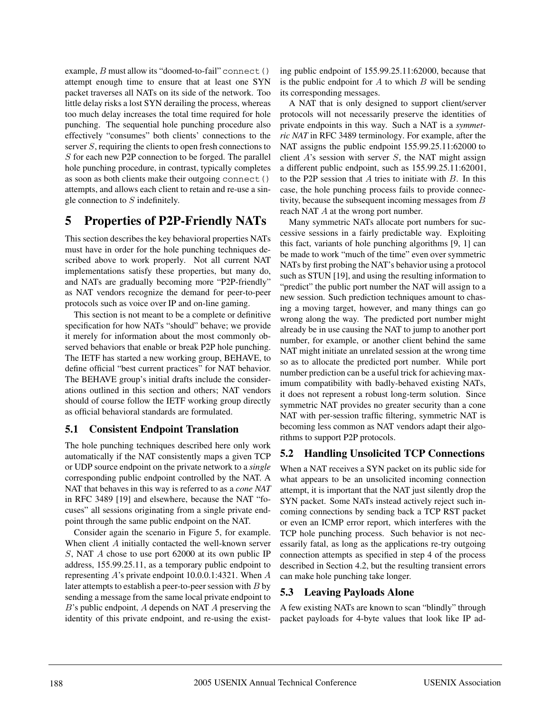example,  $B$  must allow its "doomed-to-fail" connect () attempt enough time to ensure that at least one SYN packet traverses all NATs on its side of the network. Too little delay risks a lost SYN derailing the process, whereas too much delay increases the total time required for hole punching. The sequential hole punching procedure also effectively "consumes" both clients' connections to the server S, requiring the clients to open fresh connections to S for each new P2P connection to be forged. The parallel hole punching procedure, in contrast, typically completes as soon as both clients make their outgoing connect() attempts, and allows each client to retain and re-use a single connection to S indefinitely.

# **5 Properties of P2P-Friendly NATs**

This section describes the key behavioral properties NATs must have in order for the hole punching techniques described above to work properly. Not all current NAT implementations satisfy these properties, but many do, and NATs are gradually becoming more "P2P-friendly" as NAT vendors recognize the demand for peer-to-peer protocols such as voice over IP and on-line gaming.

This section is not meant to be a complete or definitive specification for how NATs "should" behave; we provide it merely for information about the most commonly observed behaviors that enable or break P2P hole punching. The IETF has started a new working group, BEHAVE, to define official "best current practices" for NAT behavior. The BEHAVE group's initial drafts include the considerations outlined in this section and others; NAT vendors should of course follow the IETF working group directly as official behavioral standards are formulated.

## **5.1 Consistent Endpoint Translation**

The hole punching techniques described here only work automatically if the NAT consistently maps a given TCP or UDP source endpoint on the private network to a *single* corresponding public endpoint controlled by the NAT. A NAT that behaves in this way is referred to as a *cone NAT* in RFC 3489 [19] and elsewhere, because the NAT "focuses" all sessions originating from a single private endpoint through the same public endpoint on the NAT.

Consider again the scenario in Figure 5, for example. When client A initially contacted the well-known server S, NAT A chose to use port 62000 at its own public IP address, 155.99.25.11, as a temporary public endpoint to representing A's private endpoint 10.0.0.1:4321. When A later attempts to establish a peer-to-peer session with  $B$  by sending a message from the same local private endpoint to B's public endpoint, A depends on NAT A preserving the identity of this private endpoint, and re-using the existing public endpoint of 155.99.25.11:62000, because that is the public endpoint for  $A$  to which  $B$  will be sending its corresponding messages.

A NAT that is only designed to support client/server protocols will not necessarily preserve the identities of private endpoints in this way. Such a NAT is a *symmetric NAT* in RFC 3489 terminology. For example, after the NAT assigns the public endpoint 155.99.25.11:62000 to client  $A$ 's session with server  $S$ , the NAT might assign a different public endpoint, such as 155.99.25.11:62001, to the P2P session that  $A$  tries to initiate with  $B$ . In this case, the hole punching process fails to provide connectivity, because the subsequent incoming messages from B reach NAT A at the wrong port number.

Many symmetric NATs allocate port numbers for successive sessions in a fairly predictable way. Exploiting this fact, variants of hole punching algorithms [9, 1] can be made to work "much of the time" even over symmetric NATs by first probing the NAT's behavior using a protocol such as STUN [19], and using the resulting information to "predict" the public port number the NAT will assign to a new session. Such prediction techniques amount to chasing a moving target, however, and many things can go wrong along the way. The predicted port number might already be in use causing the NAT to jump to another port number, for example, or another client behind the same NAT might initiate an unrelated session at the wrong time so as to allocate the predicted port number. While port number prediction can be a useful trick for achieving maximum compatibility with badly-behaved existing NATs, it does not represent a robust long-term solution. Since symmetric NAT provides no greater security than a cone NAT with per-session traffic filtering, symmetric NAT is becoming less common as NAT vendors adapt their algorithms to support P2P protocols.

# **5.2 Handling Unsolicited TCP Connections**

When a NAT receives a SYN packet on its public side for what appears to be an unsolicited incoming connection attempt, it is important that the NAT just silently drop the SYN packet. Some NATs instead actively reject such incoming connections by sending back a TCP RST packet or even an ICMP error report, which interferes with the TCP hole punching process. Such behavior is not necessarily fatal, as long as the applications re-try outgoing connection attempts as specified in step 4 of the process described in Section 4.2, but the resulting transient errors can make hole punching take longer.

## **5.3 Leaving Payloads Alone**

A few existing NATs are known to scan "blindly" through packet payloads for 4-byte values that look like IP ad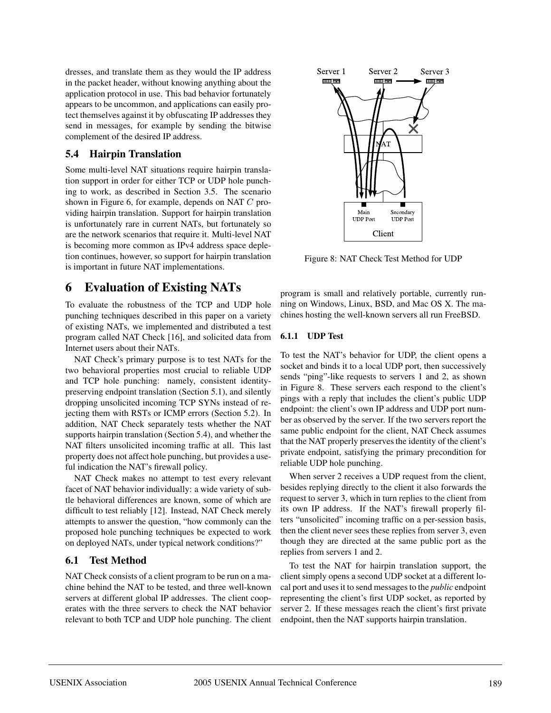dresses, and translate them as they would the IP address in the packet header, without knowing anything about the application protocol in use. This bad behavior fortunately appears to be uncommon, and applications can easily protect themselves against it by obfuscating IP addresses they send in messages, for example by sending the bitwise complement of the desired IP address.

## **5.4 Hairpin Translation**

Some multi-level NAT situations require hairpin translation support in order for either TCP or UDP hole punching to work, as described in Section 3.5. The scenario shown in Figure 6, for example, depends on NAT C providing hairpin translation. Support for hairpin translation is unfortunately rare in current NATs, but fortunately so are the network scenarios that require it. Multi-level NAT is becoming more common as IPv4 address space depletion continues, however, so support for hairpin translation is important in future NAT implementations.

# **6 Evaluation of Existing NATs**

To evaluate the robustness of the TCP and UDP hole punching techniques described in this paper on a variety of existing NATs, we implemented and distributed a test program called NAT Check [16], and solicited data from Internet users about their NATs.

NAT Check's primary purpose is to test NATs for the two behavioral properties most crucial to reliable UDP and TCP hole punching: namely, consistent identitypreserving endpoint translation (Section 5.1), and silently dropping unsolicited incoming TCP SYNs instead of rejecting them with RSTs or ICMP errors (Section 5.2). In addition, NAT Check separately tests whether the NAT supports hairpin translation (Section 5.4), and whether the NAT filters unsolicited incoming traffic at all. This last property does not affect hole punching, but provides a useful indication the NAT's firewall policy.

NAT Check makes no attempt to test every relevant facet of NAT behavior individually: a wide variety of subtle behavioral differences are known, some of which are difficult to test reliably [12]. Instead, NAT Check merely attempts to answer the question, "how commonly can the proposed hole punching techniques be expected to work on deployed NATs, under typical network conditions?"

## **6.1 Test Method**

NAT Check consists of a client program to be run on a machine behind the NAT to be tested, and three well-known servers at different global IP addresses. The client cooperates with the three servers to check the NAT behavior relevant to both TCP and UDP hole punching. The client



Figure 8: NAT Check Test Method for UDP

program is small and relatively portable, currently running on Windows, Linux, BSD, and Mac OS X. The machines hosting the well-known servers all run FreeBSD.

#### **6.1.1 UDP Test**

To test the NAT's behavior for UDP, the client opens a socket and binds it to a local UDP port, then successively sends "ping"-like requests to servers 1 and 2, as shown in Figure 8. These servers each respond to the client's pings with a reply that includes the client's public UDP endpoint: the client's own IP address and UDP port number as observed by the server. If the two servers report the same public endpoint for the client, NAT Check assumes that the NAT properly preserves the identity of the client's private endpoint, satisfying the primary precondition for reliable UDP hole punching.

When server 2 receives a UDP request from the client, besides replying directly to the client it also forwards the request to server 3, which in turn replies to the client from its own IP address. If the NAT's firewall properly filters "unsolicited" incoming traffic on a per-session basis, then the client never sees these replies from server 3, even though they are directed at the same public port as the replies from servers 1 and 2.

To test the NAT for hairpin translation support, the client simply opens a second UDP socket at a different local port and uses it to send messages to the *public* endpoint representing the client's first UDP socket, as reported by server 2. If these messages reach the client's first private endpoint, then the NAT supports hairpin translation.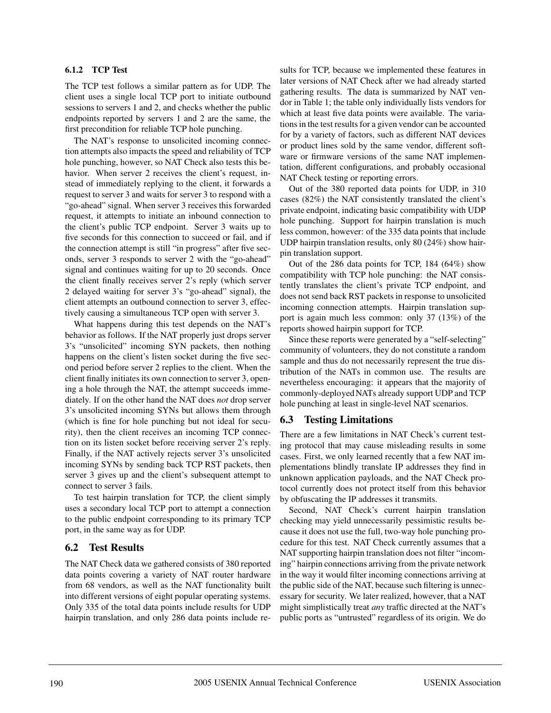#### **6.1.2 TCP Test**

The TCP test follows a similar pattern as for UDP. The client uses a single local TCP port to initiate outbound sessions to servers 1 and 2, and checks whether the public endpoints reported by servers 1 and 2 are the same, the first precondition for reliable TCP hole punching.

The NAT's response to unsolicited incoming connection attempts also impacts the speed and reliability of TCP hole punching, however, so NAT Check also tests this behavior. When server 2 receives the client's request, instead of immediately replying to the client, it forwards a request to server 3 and waits for server 3 to respond with a "go-ahead" signal. When server 3 receives this forwarded request, it attempts to initiate an inbound connection to the client's public TCP endpoint. Server 3 waits up to five seconds for this connection to succeed or fail, and if the connection attempt is still "in progress" after five seconds, server 3 responds to server 2 with the "go-ahead" signal and continues waiting for up to 20 seconds. Once the client finally receives server 2's reply (which server 2 delayed waiting for server 3's "go-ahead" signal), the client attempts an outbound connection to server 3, effectively causing a simultaneous TCP open with server 3.

What happens during this test depends on the NAT's behavior as follows. If the NAT properly just drops server 3's "unsolicited" incoming SYN packets, then nothing happens on the client's listen socket during the five second period before server 2 replies to the client. When the client finally initiates its own connection to server 3, opening a hole through the NAT, the attempt succeeds immediately. If on the other hand the NAT does *not* drop server 3's unsolicited incoming SYNs but allows them through (which is fine for hole punching but not ideal for security), then the client receives an incoming TCP connection on its listen socket before receiving server 2's reply. Finally, if the NAT actively rejects server 3's unsolicited incoming SYNs by sending back TCP RST packets, then server 3 gives up and the client's subsequent attempt to connect to server 3 fails.

To test hairpin translation for TCP, the client simply uses a secondary local TCP port to attempt a connection to the public endpoint corresponding to its primary TCP port, in the same way as for UDP.

#### **6.2 Test Results**

The NAT Check data we gathered consists of 380 reported data points covering a variety of NAT router hardware from 68 vendors, as well as the NAT functionality built into different versions of eight popular operating systems. Only 335 of the total data points include results for UDP hairpin translation, and only 286 data points include re-

sults for TCP, because we implemented these features in later versions of NAT Check after we had already started gathering results. The data is summarized by NAT vendor in Table 1; the table only individually lists vendors for which at least five data points were available. The variations in the test results for a given vendor can be accounted for by a variety of factors, such as different NAT devices or product lines sold by the same vendor, different software or firmware versions of the same NAT implementation, different configurations, and probably occasional NAT Check testing or reporting errors.

Out of the 380 reported data points for UDP, in 310 cases (82%) the NAT consistently translated the client's private endpoint, indicating basic compatibility with UDP hole punching. Support for hairpin translation is much less common, however: of the 335 data points that include UDP hairpin translation results, only 80 (24%) show hairpin translation support.

Out of the 286 data points for TCP, 184 (64%) show compatibility with TCP hole punching: the NAT consistently translates the client's private TCP endpoint, and does not send back RST packets in response to unsolicited incoming connection attempts. Hairpin translation support is again much less common: only 37 (13%) of the reports showed hairpin support for TCP.

Since these reports were generated by a "self-selecting" community of volunteers, they do not constitute a random sample and thus do not necessarily represent the true distribution of the NATs in common use. The results are nevertheless encouraging: it appears that the majority of commonly-deployed NATs already support UDP and TCP hole punching at least in single-level NAT scenarios.

## **6.3 Testing Limitations**

There are a few limitations in NAT Check's current testing protocol that may cause misleading results in some cases. First, we only learned recently that a few NAT implementations blindly translate IP addresses they find in unknown application payloads, and the NAT Check protocol currently does not protect itself from this behavior by obfuscating the IP addresses it transmits.

Second, NAT Check's current hairpin translation checking may yield unnecessarily pessimistic results because it does not use the full, two-way hole punching procedure for this test. NAT Check currently assumes that a NAT supporting hairpin translation does not filter "incoming" hairpin connections arriving from the private network in the way it would filter incoming connections arriving at the public side of the NAT, because such filtering is unnecessary for security. We later realized, however, that a NAT might simplistically treat *any* traffic directed at the NAT's public ports as "untrusted" regardless of its origin. We do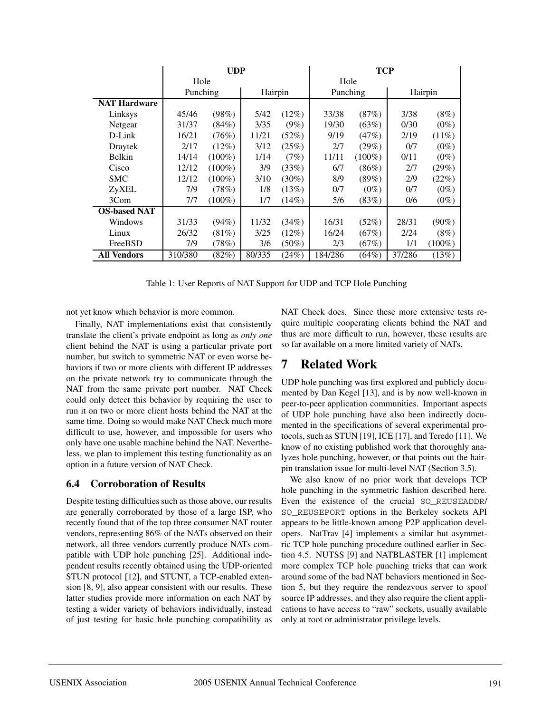|                     | <b>UDP</b> |           |         |          | TCP      |           |         |           |
|---------------------|------------|-----------|---------|----------|----------|-----------|---------|-----------|
|                     | Hole       |           |         | Hole     |          |           |         |           |
|                     | Punching   |           | Hairpin |          | Punching |           | Hairpin |           |
| <b>NAT Hardware</b> |            |           |         |          |          |           |         |           |
| Linksys             | 45/46      | (98%)     | 5/42    | (12%)    | 33/38    | (87%)     | 3/38    | $(8\%)$   |
| Netgear             | 31/37      | (84%)     | 3/35    | $(9\%)$  | 19/30    | (63%)     | 0/30    | $(0\%)$   |
| D-Link              | 16/21      | (76%)     | 11/21   | (52%)    | 9/19     | (47%)     | 2/19    | $(11\%)$  |
| Draytek             | 2/17       | $(12\%)$  | 3/12    | (25%)    | 2/7      | $(29\%)$  | 0/7     | $(0\%)$   |
| <b>Belkin</b>       | 14/14      | $(100\%)$ | 1/14    | (7%)     | 11/11    | $(100\%)$ | 0/11    | $(0\%)$   |
| Cisco               | 12/12      | $(100\%)$ | 3/9     | (33%)    | 6/7      | $(86\%)$  | 2/7     | (29%)     |
| <b>SMC</b>          | 12/12      | $(100\%)$ | 3/10    | $(30\%)$ | 8/9      | $(89\%)$  | 2/9     | $(22\%)$  |
| ZyXEL               | 7/9        | (78%)     | 1/8     | (13%)    | 0/7      | $(0\%)$   | 0/7     | $(0\%)$   |
| 3Com                | 7/7        | $(100\%)$ | 1/7     | $(14\%)$ | 5/6      | (83%)     | 0/6     | $(0\%)$   |
| <b>OS-based NAT</b> |            |           |         |          |          |           |         |           |
| Windows             | 31/33      | (94%)     | 11/32   | (34%)    | 16/31    | (52%)     | 28/31   | $(90\%)$  |
| Linux               | 26/32      | $(81\%)$  | 3/25    | (12%)    | 16/24    | (67%)     | 2/24    | (8%)      |
| FreeBSD             | 7/9        | (78%)     | 3/6     | $(50\%)$ | 2/3      | (67%)     | 1/1     | $(100\%)$ |
| All Vendors         | 310/380    | (82%)     | 80/335  | (24%)    | 184/286  | $(64\%)$  | 37/286  | (13%)     |

Table 1: User Reports of NAT Support for UDP and TCP Hole Punching

not yet know which behavior is more common.

Finally, NAT implementations exist that consistently translate the client's private endpoint as long as *only one* client behind the NAT is using a particular private port number, but switch to symmetric NAT or even worse behaviors if two or more clients with different IP addresses on the private network try to communicate through the NAT from the same private port number. NAT Check could only detect this behavior by requiring the user to run it on two or more client hosts behind the NAT at the same time. Doing so would make NAT Check much more difficult to use, however, and impossible for users who only have one usable machine behind the NAT. Nevertheless, we plan to implement this testing functionality as an option in a future version of NAT Check.

#### **6.4 Corroboration of Results**

Despite testing difficulties such as those above, our results are generally corroborated by those of a large ISP, who recently found that of the top three consumer NAT router vendors, representing 86% of the NATs observed on their network, all three vendors currently produce NATs compatible with UDP hole punching [25]. Additional independent results recently obtained using the UDP-oriented STUN protocol [12], and STUNT, a TCP-enabled extension [8, 9], also appear consistent with our results. These latter studies provide more information on each NAT by testing a wider variety of behaviors individually, instead of just testing for basic hole punching compatibility as

NAT Check does. Since these more extensive tests require multiple cooperating clients behind the NAT and thus are more difficult to run, however, these results are so far available on a more limited variety of NATs.

# **7 Related Work**

UDP hole punching was first explored and publicly documented by Dan Kegel [13], and is by now well-known in peer-to-peer application communities. Important aspects of UDP hole punching have also been indirectly documented in the specifications of several experimental protocols, such as STUN [19], ICE [17], and Teredo [11]. We know of no existing published work that thoroughly analyzes hole punching, however, or that points out the hairpin translation issue for multi-level NAT (Section 3.5).

We also know of no prior work that develops TCP hole punching in the symmetric fashion described here. Even the existence of the crucial SO\_REUSEADDR/ SO\_REUSEPORT options in the Berkeley sockets API appears to be little-known among P2P application developers. NatTrav [4] implements a similar but asymmetric TCP hole punching procedure outlined earlier in Section 4.5. NUTSS [9] and NATBLASTER [1] implement more complex TCP hole punching tricks that can work around some of the bad NAT behaviors mentioned in Section 5, but they require the rendezvous server to spoof source IP addresses, and they also require the client applications to have access to "raw" sockets, usually available only at root or administrator privilege levels.